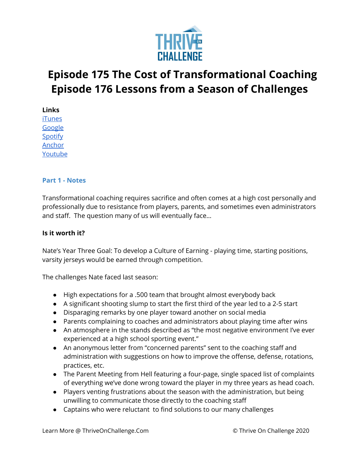

# **Episode 175 The Cost of Transformational Coaching Episode 176 Lessons from a Season of Challenges**

**Links**

[iTunes](https://podcasts.apple.com/us/podcast/coaching-culture/id1286560192) [Google](https://podcasts.google.com/feed/aHR0cHM6Ly9mZWVkcy5zb3VuZGNsb3VkLmNvbS91c2Vycy9zb3VuZGNsb3VkOnVzZXJzOjQxMDQyNzcvc291bmRzLnJzcw?ved=2ahUKEwiSpYquy9vqAhVbQUEAHSAkC88Q4aUDegQIARAC) [Spotify](https://open.spotify.com/show/336Hs8udk8s0yXuK3BzSOq) [Anchor](https://anchor.fm/coachingculturepodcast) [Youtube](https://www.youtube.com/channel/UC3vIljCBzwHcPyVIx9kiHvw)

#### **Part 1 - Notes**

Transformational coaching requires sacrifice and often comes at a high cost personally and professionally due to resistance from players, parents, and sometimes even administrators and staff. The question many of us will eventually face…

## **Is it worth it?**

Nate's Year Three Goal: To develop a Culture of Earning - playing time, starting positions, varsity jerseys would be earned through competition.

The challenges Nate faced last season:

- High expectations for a .500 team that brought almost everybody back
- A significant shooting slump to start the first third of the year led to a 2-5 start
- Disparaging remarks by one player toward another on social media
- Parents complaining to coaches and administrators about playing time after wins
- An atmosphere in the stands described as "the most negative environment I've ever experienced at a high school sporting event."
- An anonymous letter from "concerned parents" sent to the coaching staff and administration with suggestions on how to improve the offense, defense, rotations, practices, etc.
- The Parent Meeting from Hell featuring a four-page, single spaced list of complaints of everything we've done wrong toward the player in my three years as head coach.
- Players venting frustrations about the season with the administration, but being unwilling to communicate those directly to the coaching staff
- Captains who were reluctant to find solutions to our many challenges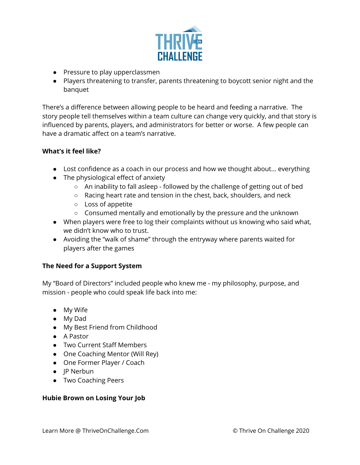

- Pressure to play upperclassmen
- Players threatening to transfer, parents threatening to boycott senior night and the banquet

There's a difference between allowing people to be heard and feeding a narrative. The story people tell themselves within a team culture can change very quickly, and that story is influenced by parents, players, and administrators for better or worse. A few people can have a dramatic affect on a team's narrative.

## **What's it feel like?**

- Lost confidence as a coach in our process and how we thought about… everything
- $\bullet$  The physiological effect of anxiety
	- An inability to fall asleep followed by the challenge of getting out of bed
	- Racing heart rate and tension in the chest, back, shoulders, and neck
	- Loss of appetite
	- Consumed mentally and emotionally by the pressure and the unknown
- When players were free to log their complaints without us knowing who said what, we didn't know who to trust.
- Avoiding the "walk of shame" through the entryway where parents waited for players after the games

## **The Need for a Support System**

My "Board of Directors" included people who knew me - my philosophy, purpose, and mission - people who could speak life back into me:

- My Wife
- My Dad
- My Best Friend from Childhood
- A Pastor
- Two Current Staff Members
- One Coaching Mentor (Will Rey)
- One Former Player / Coach
- JP Nerbun
- Two Coaching Peers

#### **Hubie Brown on Losing Your Job**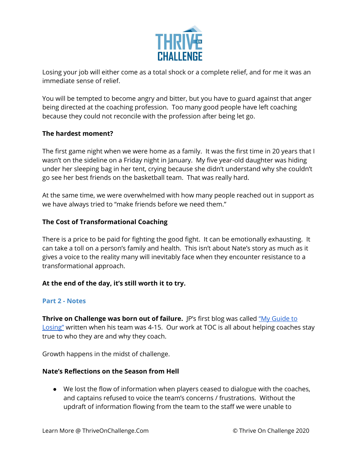

Losing your job will either come as a total shock or a complete relief, and for me it was an immediate sense of relief.

You will be tempted to become angry and bitter, but you have to guard against that anger being directed at the coaching profession. Too many good people have left coaching because they could not reconcile with the profession after being let go.

## **The hardest moment?**

The first game night when we were home as a family. It was the first time in 20 years that I wasn't on the sideline on a Friday night in January. My five year-old daughter was hiding under her sleeping bag in her tent, crying because she didn't understand why she couldn't go see her best friends on the basketball team. That was really hard.

At the same time, we were overwhelmed with how many people reached out in support as we have always tried to "make friends before we need them."

## **The Cost of Transformational Coaching**

There is a price to be paid for fighting the good fight. It can be emotionally exhausting. It can take a toll on a person's family and health. This isn't about Nate's story as much as it gives a voice to the reality many will inevitably face when they encounter resistance to a transformational approach.

#### **At the end of the day, it's still worth it to try.**

#### **Part 2 - Notes**

**Thrive on Challenge was born out of failure.** JP's first blog was called "My [Guide](https://thriveonchallenge.com/my-coaching-guide-to-losing/) to [Losing"](https://thriveonchallenge.com/my-coaching-guide-to-losing/) written when his team was 4-15. Our work at TOC is all about helping coaches stay true to who they are and why they coach.

Growth happens in the midst of challenge.

#### **Nate's Reflections on the Season from Hell**

● We lost the flow of information when players ceased to dialogue with the coaches, and captains refused to voice the team's concerns / frustrations. Without the updraft of information flowing from the team to the staff we were unable to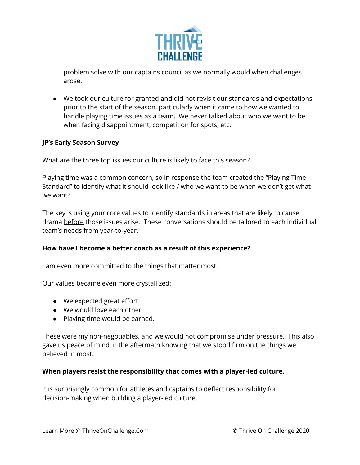

problem solve with our captains council as we normally would when challenges arose.

● We took our culture for granted and did not revisit our standards and expectations prior to the start of the season, particularly when it came to how we wanted to handle playing time issues as a team. We never talked about who we want to be when facing disappointment, competition for spots, etc.

## **JP's Early Season Survey**

What are the three top issues our culture is likely to face this season?

Playing time was a common concern, so in response the team created the "Playing Time Standard" to identify what it should look like / who we want to be when we don't get what we want?

The key is using your core values to identify standards in areas that are likely to cause drama before those issues arise. These conversations should be tailored to each individual team's needs from year-to-year.

#### **How have I become a better coach as a result of this experience?**

I am even more committed to the things that matter most.

Our values became even more crystallized:

- We expected great effort.
- We would love each other.
- Playing time would be earned.

These were my non-negotiables, and we would not compromise under pressure. This also gave us peace of mind in the aftermath knowing that we stood firm on the things we believed in most.

#### **When players resist the responsibility that comes with a player-led culture.**

It is surprisingly common for athletes and captains to deflect responsibility for decision-making when building a player-led culture.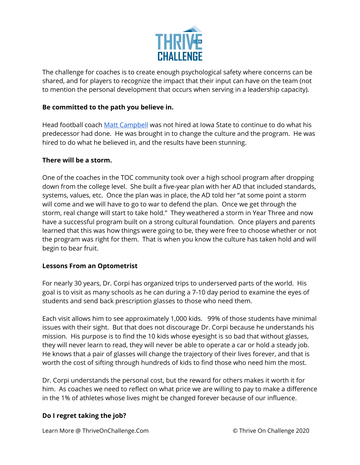

The challenge for coaches is to create enough psychological safety where concerns can be shared, and for players to recognize the impact that their input can have on the team (not to mention the personal development that occurs when serving in a leadership capacity).

### **Be committed to the path you believe in.**

Head football coach Matt [Campbell](https://www.yahoo.com/now/matt-campbell-ended-generations-of-futility-at-iowa-state-053103504.html) was not hired at Iowa State to continue to do what his predecessor had done. He was brought in to change the culture and the program. He was hired to do what he believed in, and the results have been stunning.

## **There will be a storm.**

One of the coaches in the TOC community took over a high school program after dropping down from the college level. She built a five-year plan with her AD that included standards, systems, values, etc. Once the plan was in place, the AD told her "at some point a storm will come and we will have to go to war to defend the plan. Once we get through the storm, real change will start to take hold." They weathered a storm in Year Three and now have a successful program built on a strong cultural foundation. Once players and parents learned that this was how things were going to be, they were free to choose whether or not the program was right for them. That is when you know the culture has taken hold and will begin to bear fruit.

#### **Lessons From an Optometrist**

For nearly 30 years, Dr. Corpi has organized trips to underserved parts of the world. His goal is to visit as many schools as he can during a 7-10 day period to examine the eyes of students and send back prescription glasses to those who need them.

Each visit allows him to see approximately 1,000 kids. 99% of those students have minimal issues with their sight. But that does not discourage Dr. Corpi because he understands his mission. His purpose is to find the 10 kids whose eyesight is so bad that without glasses, they will never learn to read, they will never be able to operate a car or hold a steady job. He knows that a pair of glasses will change the trajectory of their lives forever, and that is worth the cost of sifting through hundreds of kids to find those who need him the most.

Dr. Corpi understands the personal cost, but the reward for others makes it worth it for him. As coaches we need to reflect on what price we are willing to pay to make a difference in the 1% of athletes whose lives might be changed forever because of our influence.

#### **Do I regret taking the job?**